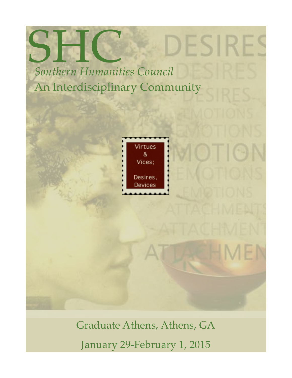SHC *Southern Humanities Council* An Interdisciplinary Community



ESI.

Graduate Athens, Athens, GA January 29-February 1, 2015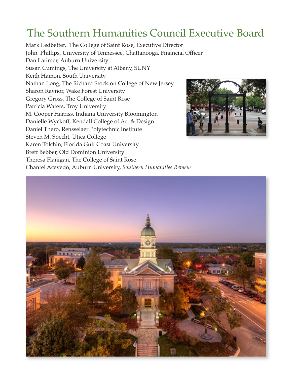## The Southern Humanities Council Executive Board

Mark Ledbetter, The College of Saint Rose, Executive Director John Phillips, University of Tennessee, Chattanooga, Financial Officer Dan Latimer, Auburn University Susan Cumings, The University at Albany, SUNY Keith Hamon, South University Nathan Long, The Richard Stockton College of New Jersey Sharon Raynor, Wake Forest University Gregory Gross, The College of Saint Rose Patricia Waters, Troy University M. Cooper Harriss, Indiana University Bloomington Danielle Wyckoff, Kendall College of Art & Design Daniel Thero, Rensselaer Polytechnic Institute Steven M. Specht, Utica College Karen Tolchin, Florida Gulf Coast University Brett Bebber, Old Dominion University Theresa Flanigan, The College of Saint Rose



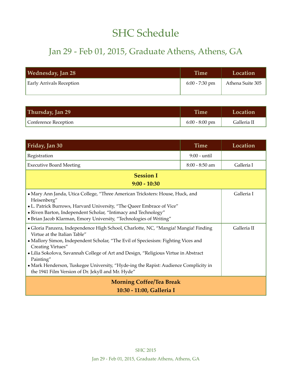## SHC Schedule

## Jan 29 - Feb 01, 2015, Graduate Athens, Athens, GA

| Wednesday, Jan 28               | <b>Time</b>      | Location         |
|---------------------------------|------------------|------------------|
| <b>Early Arrivals Reception</b> | $6:00 - 7:30$ pm | Athena Suite 305 |
|                                 |                  |                  |

| Thursday, Jan 29     | <b>Time</b>      | Location    |
|----------------------|------------------|-------------|
| Conference Reception | $6:00 - 8:00$ pm | Galleria II |

| Friday, Jan 30                                                                                                                                                                                                                                                                                                                                                                                                                                                                | <b>Time</b>    | Location    |
|-------------------------------------------------------------------------------------------------------------------------------------------------------------------------------------------------------------------------------------------------------------------------------------------------------------------------------------------------------------------------------------------------------------------------------------------------------------------------------|----------------|-------------|
| Registration                                                                                                                                                                                                                                                                                                                                                                                                                                                                  | 9:00 - until   |             |
| <b>Executive Board Meeting</b>                                                                                                                                                                                                                                                                                                                                                                                                                                                | 8:00 - 8:50 am | Galleria I  |
| <b>Session I</b>                                                                                                                                                                                                                                                                                                                                                                                                                                                              |                |             |
| $9:00 - 10:30$                                                                                                                                                                                                                                                                                                                                                                                                                                                                |                |             |
| • Mary Ann Janda, Utica College, "Three American Tricksters: House, Huck, and<br>Heisenberg"<br>• L. Patrick Burrows, Harvard University, "The Queer Embrace of Vice"<br>• Riven Barton, Independent Scholar, "Intimacy and Technology"<br>• Brian Jacob Klarman, Emory University, "Technologies of Writing"                                                                                                                                                                 |                | Galleria I  |
| • Gloria Panzera, Independence High School, Charlotte, NC, "Mangia! Mangia! Finding<br>Virtue at the Italian Table"<br>• Mallory Simon, Independent Scholar, "The Evil of Speciesism: Fighting Vices and<br>Creating Virtues"<br>• Lilia Sokolova, Savannah College of Art and Design, "Religious Virtue in Abstract<br>Painting"<br>• Mark Henderson, Tuskegee University, "Hyde-ing the Rapist: Audience Complicity in<br>the 1941 Film Version of Dr. Jekyll and Mr. Hyde" |                | Galleria II |
| <b>Morning Coffee/Tea Break</b>                                                                                                                                                                                                                                                                                                                                                                                                                                               |                |             |
| 10:30 - 11:00, Galleria I                                                                                                                                                                                                                                                                                                                                                                                                                                                     |                |             |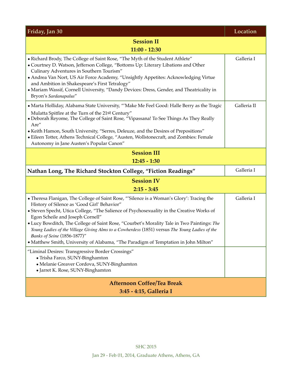| Friday, Jan 30                                                                                                                                                                                                                                                                                                                                                                                                                                                                                                                                                                                 | Location    |  |
|------------------------------------------------------------------------------------------------------------------------------------------------------------------------------------------------------------------------------------------------------------------------------------------------------------------------------------------------------------------------------------------------------------------------------------------------------------------------------------------------------------------------------------------------------------------------------------------------|-------------|--|
| <b>Session II</b>                                                                                                                                                                                                                                                                                                                                                                                                                                                                                                                                                                              |             |  |
| 11:00 - 12:30                                                                                                                                                                                                                                                                                                                                                                                                                                                                                                                                                                                  |             |  |
| • Richard Brody, The College of Saint Rose, "The Myth of the Student Athlete"<br>• Courtney D. Watson, Jefferson College, "Bottoms Up: Literary Libations and Other<br>Culinary Adventures in Southern Tourism"<br>• Andrea Van Nort, US Air Force Academy, "Unsightly Appetites: Acknowledging Virtue<br>and Ambition in Shakespeare's First Tetralogy"<br>• Mariam Wassif, Cornell University, "Dandy Devices: Dress, Gender, and Theatricality in<br>Bryon's Sardanapalus"                                                                                                                  | Galleria I  |  |
| • Marta Holliday, Alabama State University, "'Make Me Feel Good: Halle Berry as the Tragic<br>Mulatta Spitfire at the Turn of the 21st Century"<br>• Deborah Reyome, The College of Saint Rose, "Vipassana! To See Things As They Really<br>Are"<br>• Keith Hamon, South University, "Serres, Deleuze, and the Desires of Prepositions"<br>• Eileen Totter, Athens Technical College, "Austen, Wollstonecraft, and Zombies: Female<br>Autonomy in Jane Austen's Popular Canon"                                                                                                                 | Galleria II |  |
| <b>Session III</b>                                                                                                                                                                                                                                                                                                                                                                                                                                                                                                                                                                             |             |  |
| $12:45 - 1:30$                                                                                                                                                                                                                                                                                                                                                                                                                                                                                                                                                                                 | Galleria I  |  |
| Nathan Long, The Richard Stockton College, "Fiction Readings"                                                                                                                                                                                                                                                                                                                                                                                                                                                                                                                                  |             |  |
| <b>Session IV</b><br>$2:15 - 3:45$                                                                                                                                                                                                                                                                                                                                                                                                                                                                                                                                                             |             |  |
| • Theresa Flanigan, The College of Saint Rose, "'Silence is a Woman's Glory': Tracing the<br>History of Silence as 'Good Girl' Behavior"<br>• Steven Specht, Utica College, "The Salience of Psychosexuality in the Creative Works of<br>Egon Scheile and Joseph Cornell"<br>• Lucy Bowditch, The College of Saint Rose, "Courbet's Morality Tale in Two Paintings: The<br>Young Ladies of the Village Giving Alms to a Cowherdess (1851) versus The Young Ladies of the<br>Banks of Seine (1856-1877)"<br>• Matthew Smith, University of Alabama, "The Paradigm of Temptation in John Milton" | Galleria I  |  |
| "Liminal Desires: Transgressive Border Crossings"<br>· Trisha Farco, SUNY-Binghamton<br>· Melanie Greaver Cordova, SUNY-Binghamton<br>• Jarret K. Rose, SUNY-Binghamton                                                                                                                                                                                                                                                                                                                                                                                                                        |             |  |
| <b>Afternoon Coffee/Tea Break</b><br>3:45 - 4:15, Galleria I                                                                                                                                                                                                                                                                                                                                                                                                                                                                                                                                   |             |  |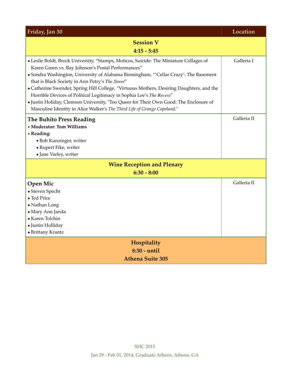| Friday, Jan 30                                                                                                                                                                                                                                                                                                                                                                                                                                                                                                                                                                                                                    | Location    |  |
|-----------------------------------------------------------------------------------------------------------------------------------------------------------------------------------------------------------------------------------------------------------------------------------------------------------------------------------------------------------------------------------------------------------------------------------------------------------------------------------------------------------------------------------------------------------------------------------------------------------------------------------|-------------|--|
| <b>Session V</b><br>$4:15 - 5:45$                                                                                                                                                                                                                                                                                                                                                                                                                                                                                                                                                                                                 |             |  |
| • Leslie Boldt, Brock University, "Stamps, Moticos, Suicide: The Miniature Collages of<br>Karen Green vs. Ray Johnson's Postal Performances"<br>• Sondra Washington, University of Alabama Birmingham, "'Cellar Crazy': The Basement<br>that is Black Society in Ann Petry's The Street"<br>• Catherine Swender, Spring Hill College, "Virtuous Mothers, Desiring Daughters, and the<br>Horrible Devices of Political Legitimacy in Sophia Lee's The Recess"<br>· Justin Holiday, Clemson University, "Too Queer for Their Own Good: The Enclosure of<br>Masculine Identity in Alice Walker's The Third Life of Grange Copeland." | Galleria I  |  |
| The Buhito Press Reading<br>• Moderator: Tom Williams<br>• Reading:<br>• Bob Kunzinger, writer<br>• Rupert Fike, writer<br>• Jane Varley, writer                                                                                                                                                                                                                                                                                                                                                                                                                                                                                  | Galleria II |  |
| <b>Wine Reception and Plenary</b><br>$6:30 - 8:00$                                                                                                                                                                                                                                                                                                                                                                                                                                                                                                                                                                                |             |  |
| <b>Open Mic</b><br>• Steven Specht<br>• Ted Price<br>• Nathan Long<br>• Mary Ann Janda<br>• Karen Tolchin<br>• Justin Holliday<br>• Brittany Krantz                                                                                                                                                                                                                                                                                                                                                                                                                                                                               | Galleria II |  |
| Hospitality<br>8:30 - until                                                                                                                                                                                                                                                                                                                                                                                                                                                                                                                                                                                                       |             |  |
| <b>Athena Suite 305</b>                                                                                                                                                                                                                                                                                                                                                                                                                                                                                                                                                                                                           |             |  |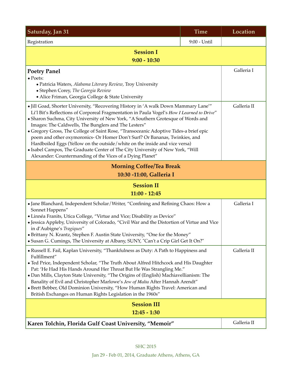| Saturday, Jan 31                                                                                                                                                                                                                                                                                                                                                                                                                                                                                                                                                                                                                                                                                                                  | <b>Time</b>  | Location    |
|-----------------------------------------------------------------------------------------------------------------------------------------------------------------------------------------------------------------------------------------------------------------------------------------------------------------------------------------------------------------------------------------------------------------------------------------------------------------------------------------------------------------------------------------------------------------------------------------------------------------------------------------------------------------------------------------------------------------------------------|--------------|-------------|
| Registration                                                                                                                                                                                                                                                                                                                                                                                                                                                                                                                                                                                                                                                                                                                      | 9:00 - Until |             |
| <b>Session I</b><br>$9:00 - 10:30$                                                                                                                                                                                                                                                                                                                                                                                                                                                                                                                                                                                                                                                                                                |              |             |
| <b>Poetry Panel</b><br>$\bullet$ Poets:<br>• Patricia Waters, Alabama Literary Review, Troy University<br>· Stephen Corey, The Georgia Review<br>• Alice Friman, Georgia College & State University                                                                                                                                                                                                                                                                                                                                                                                                                                                                                                                               |              | Galleria I  |
| • Jill Goad, Shorter University, "Recovering History in 'A walk Down Mammary Lane'"<br>Li'l Bit's Reflections of Corporeal Fragmentation in Paula Vogel's How I Learned to Drive"<br>• Sharon Suchma, City University of New York, "A Southern Grotesque of Words and<br>Images: The Caldwells, The Bunglers and The Lesters"<br>• Gregory Gross, The College of Saint Rose, "Transoceanic Adoptive Tides-a brief epic<br>poem and other oxymoronics- Or Homer Don't Surf? Or Bananas, Twinkies, and<br>Hardboiled Eggs (Yellow on the outside/white on the inside and vice versa)<br>• Isabel Campos, The Graduate Center of The City University of New York, "Will<br>Alexander: Countermanding of the Vices of a Dying Planet" |              | Galleria II |
| <b>Morning Coffee/Tea Break</b><br>10:30 -11:00, Galleria I                                                                                                                                                                                                                                                                                                                                                                                                                                                                                                                                                                                                                                                                       |              |             |
| <b>Session II</b><br>$11:00 - 12:45$                                                                                                                                                                                                                                                                                                                                                                                                                                                                                                                                                                                                                                                                                              |              |             |
| • Jane Blanchard, Independent Scholar/Writer, "Confining and Refining Chaos: How a<br>Sonnet Happens"<br>• Linnéa Franits, Utica College, "Virtue and Vice; Disability as Device"<br>· Jessica Appleby, University of Colorado, "Civil War and the Distortion of Virtue and Vice<br>in d'Aubigne's Tragiques"<br>• Brittany N. Krantz, Stephen F. Austin State University, "One for the Money"<br>• Susan G. Cumings, The University at Albany, SUNY, "Can't a Crip Girl Get It On?"                                                                                                                                                                                                                                              |              | Galleria I  |
| • Russell E. Fail, Kaplan University, "Thankfulness as Duty: A Path to Happiness and<br>Fulfillment"<br>• Ted Price, Independent Scholar, "The Truth About Alfred Hitchcock and His Daughter<br>Pat: 'He Had His Hands Around Her Throat But He Was Strangling Me."<br>• Dan Mills, Clayton State University, "The Origins of (English) Machiavellianism: The<br>Banality of Evil and Christopher Marlowe's Jew of Malta After Hannah Arendt"<br>• Brett Bebber, Old Dominion University, "How Human Rights Travel: American and<br>British Exchanges on Human Rights Legislation in the 1960s"                                                                                                                                   |              | Galleria II |
| <b>Session III</b>                                                                                                                                                                                                                                                                                                                                                                                                                                                                                                                                                                                                                                                                                                                |              |             |
| $12:45 - 1:30$                                                                                                                                                                                                                                                                                                                                                                                                                                                                                                                                                                                                                                                                                                                    |              |             |
| Karen Tolchin, Florida Gulf Coast University, "Memoir"                                                                                                                                                                                                                                                                                                                                                                                                                                                                                                                                                                                                                                                                            |              | Galleria II |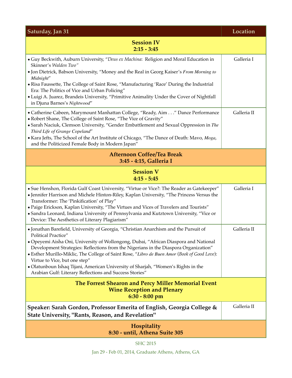| Saturday, Jan 31                                                                                                                                                                                                                                                                                                                                                                                                                                                          | Location    |  |
|---------------------------------------------------------------------------------------------------------------------------------------------------------------------------------------------------------------------------------------------------------------------------------------------------------------------------------------------------------------------------------------------------------------------------------------------------------------------------|-------------|--|
| <b>Session IV</b><br>$2:15 - 3:45$                                                                                                                                                                                                                                                                                                                                                                                                                                        |             |  |
| • Guy Beckwith, Auburn University, "Deus ex Machina: Religion and Moral Education in<br>Skinner's Walden Two"                                                                                                                                                                                                                                                                                                                                                             | Galleria I  |  |
| • Jon Dietrick, Babson University, "Money and the Real in Georg Kaiser's From Morning to<br>Midnight"                                                                                                                                                                                                                                                                                                                                                                     |             |  |
| • Risa Faussette, The College of Saint Rose, "Manufacturing 'Race' During the Industrial<br>Era: The Politics of Vice and Urban Policing"<br>• Luigi A. Juarez, Brandeis University, "Primitive Animality Under the Cover of Nightfall<br>in Djuna Barnes's Nightwood"                                                                                                                                                                                                    |             |  |
| • Catherine Cabeen, Marymount Manhattan College, "Ready, Aim" Dance Performance<br>• Robert Shane, The College of Saint Rose, "The Vice of Gravity"<br>• Sarah Naciuk, Clemson University, "Gender Embattlement and Sexual Oppression in The<br>Third Life of Grange Copeland"<br>• Kara Jefts, The School of the Art Institute of Chicago, "The Dance of Death: Mavo, Moga,<br>and the Politicized Female Body in Modern Japan"                                          | Galleria II |  |
| <b>Afternoon Coffee/Tea Break</b><br>3:45 - 4:15, Galleria I                                                                                                                                                                                                                                                                                                                                                                                                              |             |  |
| <b>Session V</b><br>$4:15 - 5:45$                                                                                                                                                                                                                                                                                                                                                                                                                                         |             |  |
| • Sue Henshon, Florida Gulf Coast University, "Virtue or Vice?: The Reader as Gatekeeper"<br>• Jennifer Harrison and Michele Hinton-Riley, Kaplan University, "The Princess Versus the<br>Transformer: The 'Pinkification' of Play"<br>• Paige Erickson, Kaplan University, "The Virtues and Vices of Travelers and Tourists"<br>• Sandra Leonard, Indiana University of Pennsylvania and Kutztown University, "Vice or<br>Device: The Aesthetics of Literary Plagiarism" | Galleria I  |  |
| • Jonathan Barefield, University of Georgia, "Christian Anarchism and the Pursuit of<br><b>Political Practice"</b>                                                                                                                                                                                                                                                                                                                                                        | Galleria II |  |
| · Opeyemi Aisha Oni, University of Wollongong, Dubai, "African Diaspora and National<br>Development Strategies: Reflections from the Nigerians in the Diaspora Organization"<br>· Esther Murillo-Miklic, The College of Saint Rose, "Libro de Buen Amor (Book of Good Love):<br>Virtue to Vice, but one step"                                                                                                                                                             |             |  |
| • Olatunboun Ishaq Tijani, American University of Sharjah, "Women's Rights in the<br>Arabian Gulf: Literary Reflections and Success Stories"                                                                                                                                                                                                                                                                                                                              |             |  |
| The Forrest Shearon and Percy Miller Memorial Event<br><b>Wine Reception and Plenary</b><br>$6:30 - 8:00$ pm                                                                                                                                                                                                                                                                                                                                                              |             |  |
| Speaker: Sarah Gordon, Professor Emerita of English, Georgia College &<br><b>State University, "Rants, Reason, and Revelation"</b>                                                                                                                                                                                                                                                                                                                                        | Galleria II |  |
| Hospitality<br>8:30 - until, Athena Suite 305                                                                                                                                                                                                                                                                                                                                                                                                                             |             |  |

SHC 2015

Jan 29 - Feb 01, 2014, Graduate Athens, Athens, GA